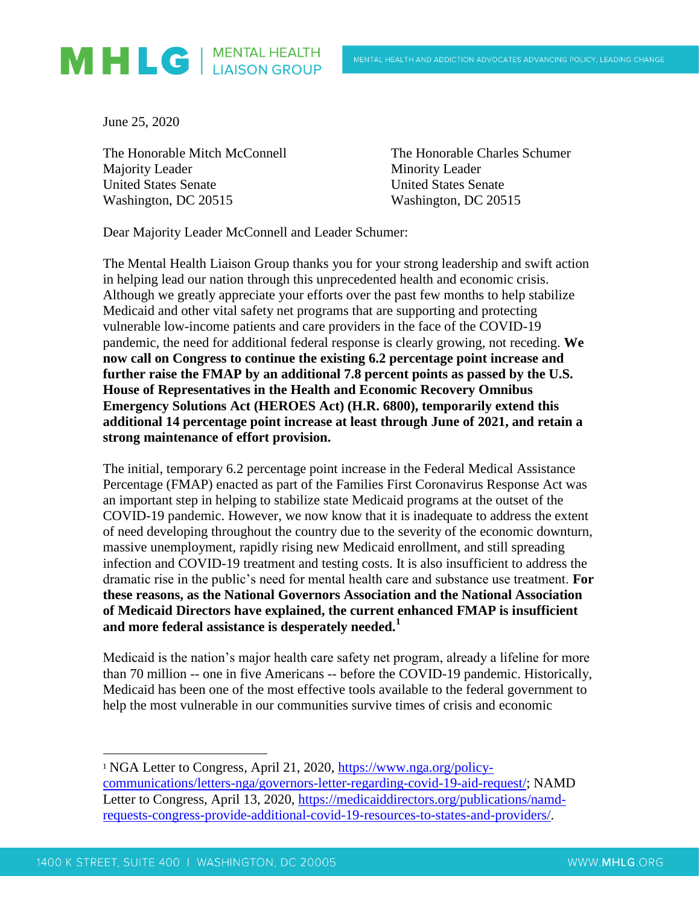

June 25, 2020

Majority Leader Minority Leader United States Senate United States Senate Washington, DC 20515 Washington, DC 20515

The Honorable Mitch McConnell The Honorable Charles Schumer

Dear Majority Leader McConnell and Leader Schumer:

The Mental Health Liaison Group thanks you for your strong leadership and swift action in helping lead our nation through this unprecedented health and economic crisis. Although we greatly appreciate your efforts over the past few months to help stabilize Medicaid and other vital safety net programs that are supporting and protecting vulnerable low-income patients and care providers in the face of the COVID-19 pandemic, the need for additional federal response is clearly growing, not receding. **We now call on Congress to continue the existing 6.2 percentage point increase and further raise the FMAP by an additional 7.8 percent points as passed by the U.S. House of Representatives in the Health and Economic Recovery Omnibus Emergency Solutions Act (HEROES Act) (H.R. 6800), temporarily extend this additional 14 percentage point increase at least through June of 2021, and retain a strong maintenance of effort provision.**

The initial, temporary 6.2 percentage point increase in the Federal Medical Assistance Percentage (FMAP) enacted as part of the Families First Coronavirus Response Act was an important step in helping to stabilize state Medicaid programs at the outset of the COVID-19 pandemic. However, we now know that it is inadequate to address the extent of need developing throughout the country due to the severity of the economic downturn, massive unemployment, rapidly rising new Medicaid enrollment, and still spreading infection and COVID-19 treatment and testing costs. It is also insufficient to address the dramatic rise in the public's need for mental health care and substance use treatment. **For these reasons, as the National Governors Association and the National Association of Medicaid Directors have explained, the current enhanced FMAP is insufficient and more federal assistance is desperately needed.<sup>1</sup>**

Medicaid is the nation's major health care safety net program, already a lifeline for more than 70 million -- one in five Americans -- before the COVID-19 pandemic. Historically, Medicaid has been one of the most effective tools available to the federal government to help the most vulnerable in our communities survive times of crisis and economic

 $\overline{a}$ 

<sup>1</sup> NGA Letter to Congress, April 21, 2020, [https://www.nga.org/policy](https://www.nga.org/policy-communications/letters-nga/governors-letter-regarding-covid-19-aid-request/)[communications/letters-nga/governors-letter-regarding-covid-19-aid-request/;](https://www.nga.org/policy-communications/letters-nga/governors-letter-regarding-covid-19-aid-request/) NAMD Letter to Congress, April 13, 2020, [https://medicaiddirectors.org/publications/namd](https://medicaiddirectors.org/publications/namd-requests-congress-provide-additional-covid-19-resources-to-states-and-providers/)[requests-congress-provide-additional-covid-19-resources-to-states-and-providers/.](https://medicaiddirectors.org/publications/namd-requests-congress-provide-additional-covid-19-resources-to-states-and-providers/)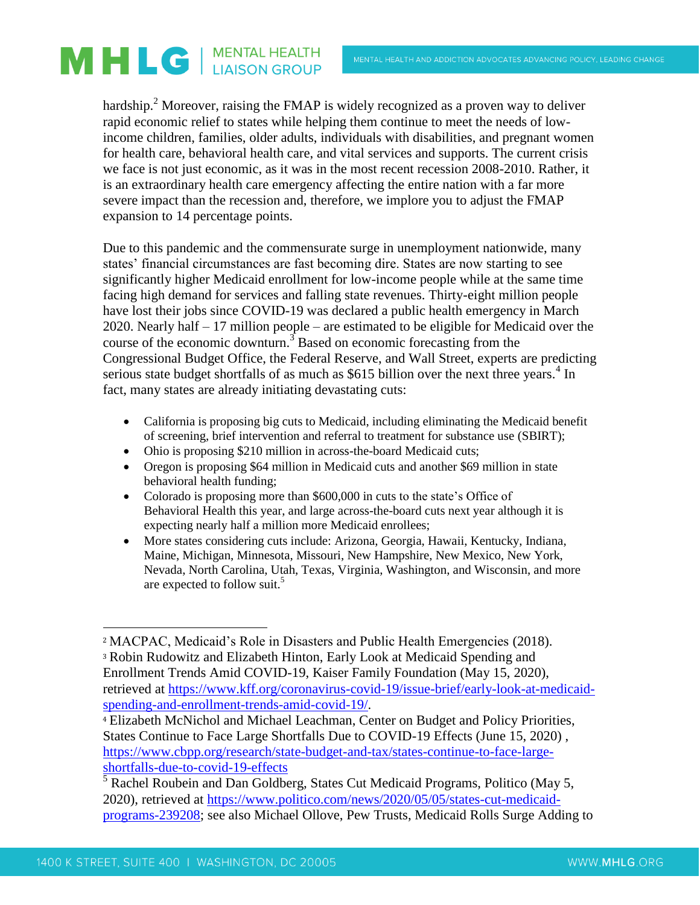hardship.<sup>2</sup> Moreover, raising the FMAP is widely recognized as a proven way to deliver rapid economic relief to states while helping them continue to meet the needs of lowincome children, families, older adults, individuals with disabilities, and pregnant women for health care, behavioral health care, and vital services and supports. The current crisis we face is not just economic, as it was in the most recent recession 2008-2010. Rather, it is an extraordinary health care emergency affecting the entire nation with a far more severe impact than the recession and, therefore, we implore you to adjust the FMAP expansion to 14 percentage points.

Due to this pandemic and the commensurate surge in unemployment nationwide, many states' financial circumstances are fast becoming dire. States are now starting to see significantly higher Medicaid enrollment for low-income people while at the same time facing high demand for services and falling state revenues. Thirty-eight million people have lost their jobs since COVID-19 was declared a public health emergency in March 2020. Nearly half – 17 million people – are estimated to be eligible for Medicaid over the course of the economic downturn.<sup>3</sup> Based on economic forecasting from the Congressional Budget Office, the Federal Reserve, and Wall Street, experts are predicting serious state budget shortfalls of as much as  $$615$  billion over the next three years.<sup>4</sup> In fact, many states are already initiating devastating cuts:

- California is proposing big cuts to Medicaid, including eliminating the Medicaid benefit of screening, brief intervention and referral to treatment for substance use (SBIRT);
- Ohio is proposing \$210 million in across-the-board Medicaid cuts;
- Oregon is proposing \$64 million in Medicaid cuts and another \$69 million in state behavioral health funding;
- Colorado is proposing more than \$600,000 in cuts to the state's Office of Behavioral Health this year, and large across-the-board cuts next year although it is expecting nearly half a million more Medicaid enrollees;
- More states considering cuts include: Arizona, Georgia, Hawaii, Kentucky, Indiana, Maine, Michigan, Minnesota, Missouri, New Hampshire, New Mexico, New York, Nevada, North Carolina, Utah, Texas, Virginia, Washington, and Wisconsin, and more are expected to follow suit.<sup>5</sup>

 $\overline{a}$ 

<sup>2</sup> MACPAC, Medicaid's Role in Disasters and Public Health Emergencies (2018). <sup>3</sup> Robin Rudowitz and Elizabeth Hinton, Early Look at Medicaid Spending and Enrollment Trends Amid COVID-19, Kaiser Family Foundation (May 15, 2020), retrieved at [https://www.kff.org/coronavirus-covid-19/issue-brief/early-look-at-medicaid](https://www.kff.org/coronavirus-covid-19/issue-brief/early-look-at-medicaid-spending-and-enrollment-trends-amid-covid-19/)[spending-and-enrollment-trends-amid-covid-19/.](https://www.kff.org/coronavirus-covid-19/issue-brief/early-look-at-medicaid-spending-and-enrollment-trends-amid-covid-19/)

<sup>4</sup> Elizabeth McNichol and Michael Leachman, Center on Budget and Policy Priorities, States Continue to Face Large Shortfalls Due to COVID-19 Effects (June 15, 2020) , [https://www.cbpp.org/research/state-budget-and-tax/states-continue-to-face-large](https://www.cbpp.org/research/state-budget-and-tax/states-continue-to-face-large-shortfalls-due-to-covid-19-effects)[shortfalls-due-to-covid-19-effects](https://www.cbpp.org/research/state-budget-and-tax/states-continue-to-face-large-shortfalls-due-to-covid-19-effects)

<sup>&</sup>lt;sup>5</sup> Rachel Roubein and Dan Goldberg, States Cut Medicaid Programs, Politico (May 5, 2020), retrieved at [https://www.politico.com/news/2020/05/05/states-cut-medicaid](https://www.politico.com/news/2020/05/05/states-cut-medicaid-programs-239208)[programs-239208;](https://www.politico.com/news/2020/05/05/states-cut-medicaid-programs-239208) see also Michael Ollove, Pew Trusts, Medicaid Rolls Surge Adding to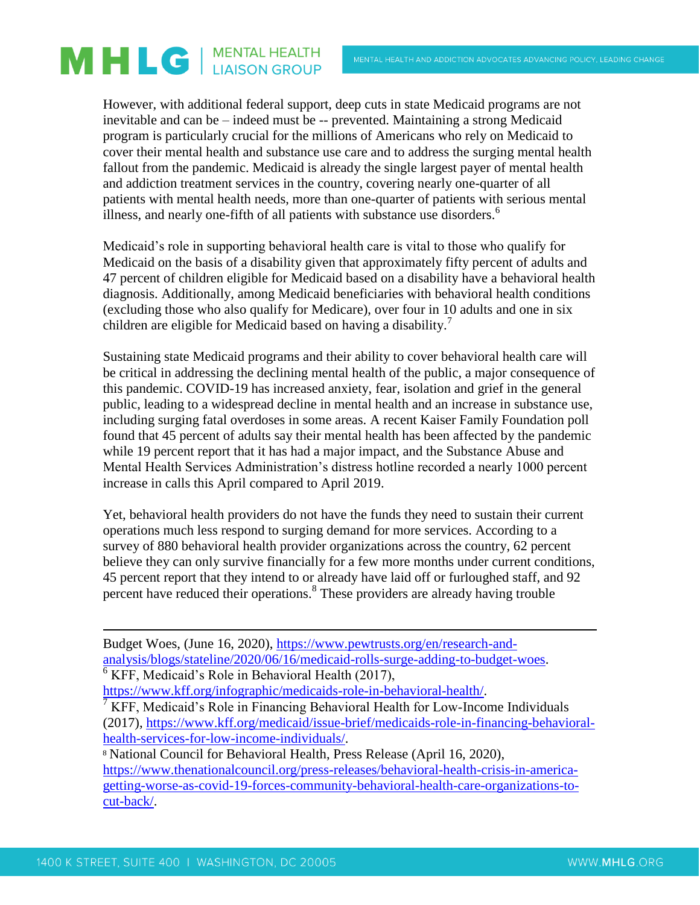However, with additional federal support, deep cuts in state Medicaid programs are not inevitable and can be – indeed must be -- prevented. Maintaining a strong Medicaid program is particularly crucial for the millions of Americans who rely on Medicaid to cover their mental health and substance use care and to address the surging mental health fallout from the pandemic. Medicaid is already the single largest payer of mental health and addiction treatment services in the country, covering nearly one-quarter of all patients with mental health needs, more than one-quarter of patients with serious mental illness, and nearly one-fifth of all patients with substance use disorders.<sup>6</sup>

Medicaid's role in supporting behavioral health care is vital to those who qualify for Medicaid on the basis of a disability given that approximately fifty percent of adults and 47 percent of children eligible for Medicaid based on a disability have a behavioral health diagnosis. Additionally, among Medicaid beneficiaries with behavioral health conditions (excluding those who also qualify for Medicare), over four in 10 adults and one in six children are eligible for Medicaid based on having a disability.<sup>7</sup>

Sustaining state Medicaid programs and their ability to cover behavioral health care will be critical in addressing the declining mental health of the public, a major consequence of this pandemic. COVID-19 has increased anxiety, fear, isolation and grief in the general public, leading to a widespread decline in mental health and an increase in substance use, including surging fatal overdoses in some areas. A recent Kaiser Family Foundation poll found that 45 percent of adults say their mental health has been affected by the pandemic while 19 percent report that it has had a major impact, and the Substance Abuse and Mental Health Services Administration's distress hotline recorded a nearly 1000 percent increase in calls this April compared to April 2019.

Yet, behavioral health providers do not have the funds they need to sustain their current operations much less respond to surging demand for more services. According to a survey of 880 behavioral health provider organizations across the country, 62 percent believe they can only survive financially for a few more months under current conditions, 45 percent report that they intend to or already have laid off or furloughed staff, and 92 percent have reduced their operations.<sup>8</sup> These providers are already having trouble

[https://www.kff.org/infographic/medicaids-role-in-behavioral-health/.](https://www.kff.org/infographic/medicaids-role-in-behavioral-health/)

 $\overline{a}$ 

Budget Woes, (June 16, 2020), [https://www.pewtrusts.org/en/research-and](https://www.pewtrusts.org/en/research-and-analysis/blogs/stateline/2020/06/16/medicaid-rolls-surge-adding-to-budget-woes)[analysis/blogs/stateline/2020/06/16/medicaid-rolls-surge-adding-to-budget-woes.](https://www.pewtrusts.org/en/research-and-analysis/blogs/stateline/2020/06/16/medicaid-rolls-surge-adding-to-budget-woes)  $6$  KFF, Medicaid's Role in Behavioral Health (2017),

 $\overline{7}$  KFF, Medicaid's Role in Financing Behavioral Health for Low-Income Individuals (2017), [https://www.kff.org/medicaid/issue-brief/medicaids-role-in-financing-behavioral](https://www.kff.org/medicaid/issue-brief/medicaids-role-in-financing-behavioral-health-services-for-low-income-individuals/)[health-services-for-low-income-individuals/.](https://www.kff.org/medicaid/issue-brief/medicaids-role-in-financing-behavioral-health-services-for-low-income-individuals/)

<sup>8</sup> National Council for Behavioral Health, Press Release (April 16, 2020), [https://www.thenationalcouncil.org/press-releases/behavioral-health-crisis-in-america](https://www.thenationalcouncil.org/press-releases/behavioral-health-crisis-in-america-getting-worse-as-covid-19-forces-community-behavioral-health-care-organizations-to-cut-back/)[getting-worse-as-covid-19-forces-community-behavioral-health-care-organizations-to](https://www.thenationalcouncil.org/press-releases/behavioral-health-crisis-in-america-getting-worse-as-covid-19-forces-community-behavioral-health-care-organizations-to-cut-back/)[cut-back/.](https://www.thenationalcouncil.org/press-releases/behavioral-health-crisis-in-america-getting-worse-as-covid-19-forces-community-behavioral-health-care-organizations-to-cut-back/)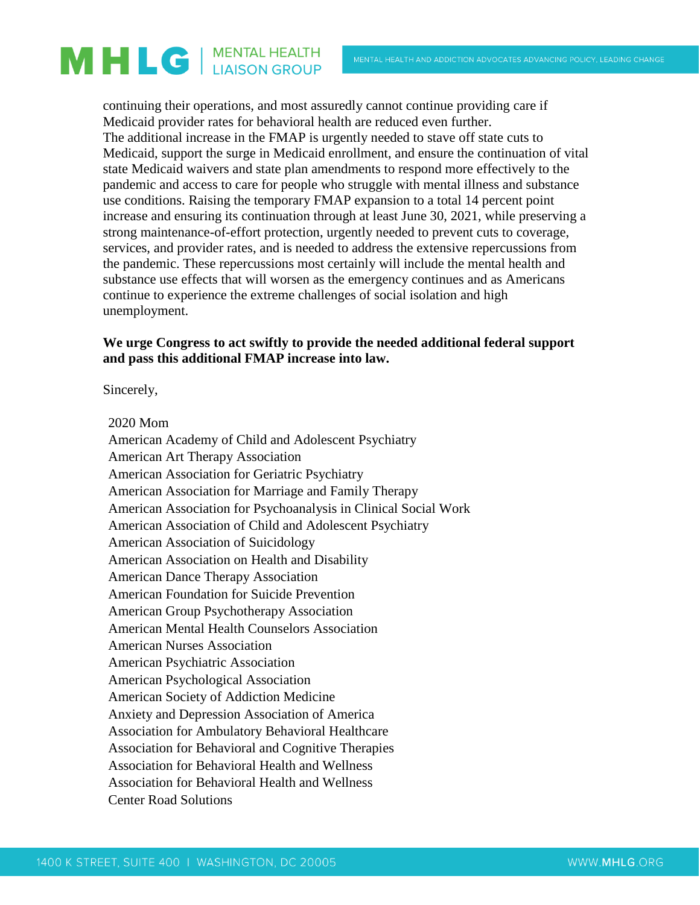continuing their operations, and most assuredly cannot continue providing care if Medicaid provider rates for behavioral health are reduced even further. The additional increase in the FMAP is urgently needed to stave off state cuts to Medicaid, support the surge in Medicaid enrollment, and ensure the continuation of vital state Medicaid waivers and state plan amendments to respond more effectively to the pandemic and access to care for people who struggle with mental illness and substance use conditions. Raising the temporary FMAP expansion to a total 14 percent point increase and ensuring its continuation through at least June 30, 2021, while preserving a strong maintenance-of-effort protection, urgently needed to prevent cuts to coverage, services, and provider rates, and is needed to address the extensive repercussions from the pandemic. These repercussions most certainly will include the mental health and substance use effects that will worsen as the emergency continues and as Americans continue to experience the extreme challenges of social isolation and high unemployment.

#### **We urge Congress to act swiftly to provide the needed additional federal support and pass this additional FMAP increase into law.**

Sincerely,

#### 2020 Mom

American Academy of Child and Adolescent Psychiatry American Art Therapy Association American Association for Geriatric Psychiatry American Association for Marriage and Family Therapy American Association for Psychoanalysis in Clinical Social Work American Association of Child and Adolescent Psychiatry American Association of Suicidology American Association on Health and Disability American Dance Therapy Association American Foundation for Suicide Prevention American Group Psychotherapy Association American Mental Health Counselors Association American Nurses Association American Psychiatric Association American Psychological Association American Society of Addiction Medicine Anxiety and Depression Association of America Association for Ambulatory Behavioral Healthcare Association for Behavioral and Cognitive Therapies Association for Behavioral Health and Wellness Association for Behavioral Health and Wellness Center Road Solutions